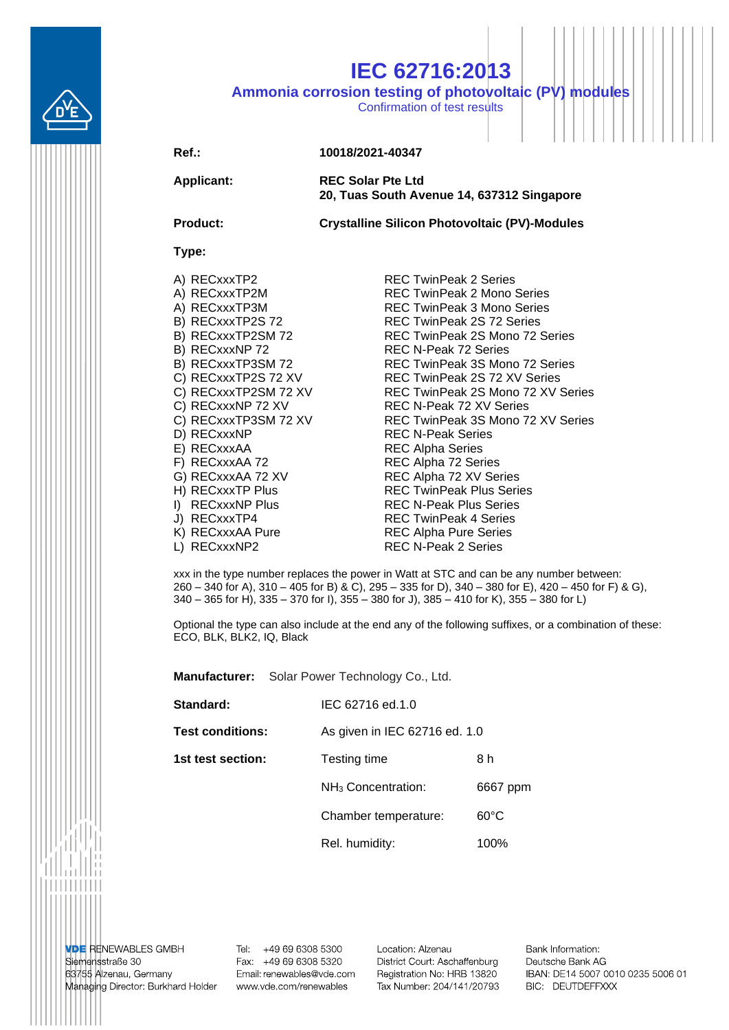

## **IEC 62716:2013**

**Ammonia corrosion testing of photovoltaic (PV) modules**

Confirmation of test results

## **Ref.: 10018/2021-40347**

**Applicant: REC Solar Pte Ltd 20, Tuas South Avenue 14, 637312 Singapore**

**Product: Crystalline Silicon Photovoltaic (PV)-Modules**

## **Type:**

- 
- 
- 
- 
- 
- 
- 
- 
- 
- 
- 
- 
- 
- 
- 
- 
- 
- 
- 
- 
- 

A) RECxxxTP2 REC TwinPeak 2 Series A) RECxxxTP2M REC TwinPeak 2 Mono Series A) RECxxxTP3M REC TwinPeak 3 Mono Series B) RECxxxTP2S 72 REC TwinPeak 2S 72 Series B) RECxxxTP2SM 72 REC TwinPeak 2S Mono 72 Series B) RECxxxNP 72 REC N-Peak 72 Series B) RECxxxTP3SM 72 REC TwinPeak 3S Mono 72 Series C) RECxxxTP2S 72 XV REC TwinPeak 2S 72 XV Series C) RECxxxTP2SM 72 XV REC TwinPeak 2S Mono 72 XV Series C) RECxxxNP 72 XV REC N-Peak 72 XV Series C) RECxxxTP3SM 72 XV REC TwinPeak 3S Mono 72 XV Series<br>D) RECxxxNP REC N-Peak Series REC N-Peak Series E) RECxxxAA REC Alpha Series F) RECxxxAA 72 REC Alpha 72 Series G) RECxxxAA 72 XV REC Alpha 72 XV Series H) RECxxxTP Plus REC TwinPeak Plus Series I) RECxxxNP Plus REC N-Peak Plus Series J) RECxxxTP4 REC TwinPeak 4 Series K) RECxxxAA Pure REC Alpha Pure Series L) RECxxxNP2 REC N-Peak 2 Series

xxx in the type number replaces the power in Watt at STC and can be any number between: 260 – 340 for A), 310 – 405 for B) & C), 295 – 335 for D), 340 – 380 for E), 420 – 450 for F) & G), 340 – 365 for H), 335 – 370 for I), 355 – 380 for J), 385 – 410 for K), 355 – 380 for L)

Optional the type can also include at the end any of the following suffixes, or a combination of these: ECO, BLK, BLK2, IQ, Black

**Standard:** IEC 62716 ed.1.0 **Test conditions:** As given in IEC 62716 ed. 1.0 **1st test section:** Testing time 8 h NH<sup>3</sup> Concentration: 6667 ppm Chamber temperature: 60°C Rel. humidity: 100%

**Manufacturer:** Solar Power Technology Co., Ltd.

**VDE RENEWABLES GMBH** Siemensstraße 30 63755 Alzenau, Germany Managing Director: Burkhard Holder

Tel: +49 69 6308 5300 Fax: +49 69 6308 5320 Email: renewables@vde.com www.vde.com/renewables

Location: Alzenau District Court: Aschaffenburg Registration No: HRB 13820 Tax Number: 204/141/20793 Bank Information: Deutsche Bank AG IBAN: DE14 5007 0010 0235 5006 01 BIC: DEUTDEFFXXX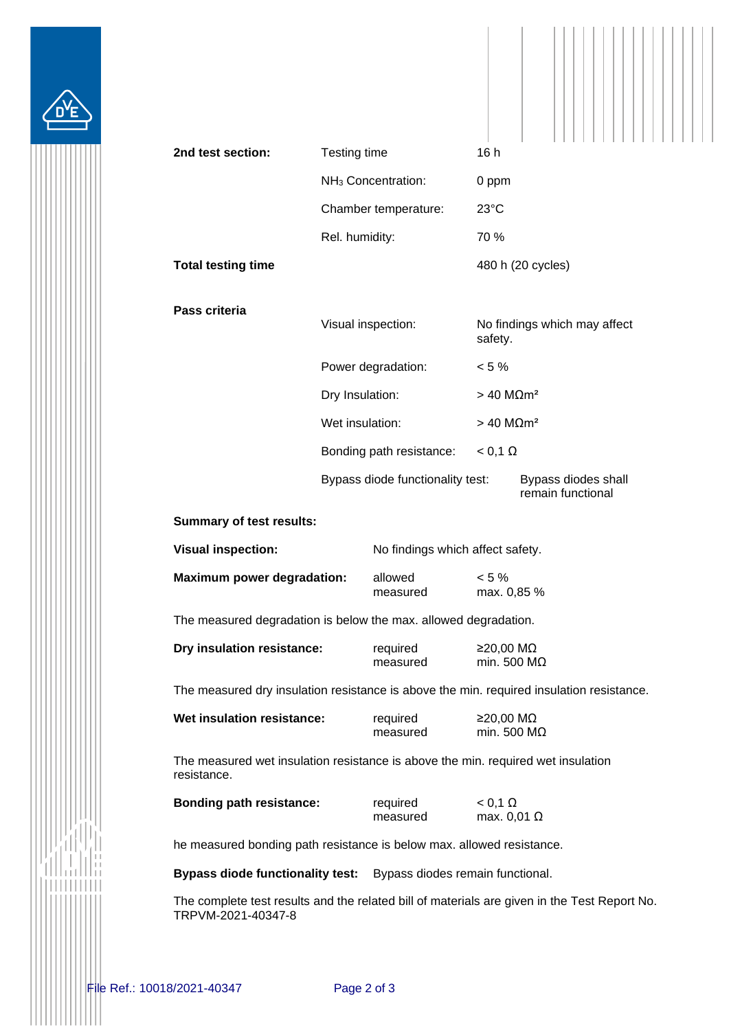

| 2nd test section:                 | Testing time                                |                                       | 16h               |                                          |  |  |
|-----------------------------------|---------------------------------------------|---------------------------------------|-------------------|------------------------------------------|--|--|
|                                   |                                             | NH <sub>3</sub> Concentration:        | 0 ppm             |                                          |  |  |
|                                   |                                             | Chamber temperature:                  | 23°C              |                                          |  |  |
|                                   | Rel. humidity:                              |                                       | 70 %              |                                          |  |  |
| <b>Total testing time</b>         |                                             |                                       | 480 h (20 cycles) |                                          |  |  |
| Pass criteria                     |                                             | Visual inspection:                    | safety.           | No findings which may affect             |  |  |
|                                   |                                             | Power degradation:<br>Dry Insulation: |                   | $< 5 \%$<br>$>$ 40 MΩm <sup>2</sup>      |  |  |
|                                   |                                             |                                       |                   |                                          |  |  |
|                                   | Wet insulation:<br>Bonding path resistance: |                                       |                   | $> 40$ M $\Omega$ m <sup>2</sup>         |  |  |
|                                   |                                             |                                       | $< 0,1 \Omega$    |                                          |  |  |
|                                   |                                             | Bypass diode functionality test:      |                   | Bypass diodes shall<br>remain functional |  |  |
| <b>Summary of test results:</b>   |                                             |                                       |                   |                                          |  |  |
| <b>Visual inspection:</b>         | No findings which affect safety.            |                                       |                   |                                          |  |  |
| <b>Maximum power degradation:</b> |                                             | allowed<br>measured                   | $< 5 \%$          | max. 0,85 %                              |  |  |

The measured degradation is below the max. allowed degradation.

| Dry insulation resistance: | required | ≥20,00 MΩ           |
|----------------------------|----------|---------------------|
|                            | measured | min. 500 M $\Omega$ |

The measured dry insulation resistance is above the min. required insulation resistance.

| Wet insulation resistance: | required | $≥$ 20.00 MΩ        |
|----------------------------|----------|---------------------|
|                            | measured | min. 500 M $\Omega$ |

The measured wet insulation resistance is above the min. required wet insulation resistance.

| <b>Bonding path resistance:</b> | required | $< 0.1 \Omega$     |
|---------------------------------|----------|--------------------|
|                                 | measured | max. $0.01 \Omega$ |

he measured bonding path resistance is below max. allowed resistance.

**Bypass diode functionality test:** Bypass diodes remain functional.

The complete test results and the related bill of materials are given in the Test Report No. TRPVM-2021-40347-8